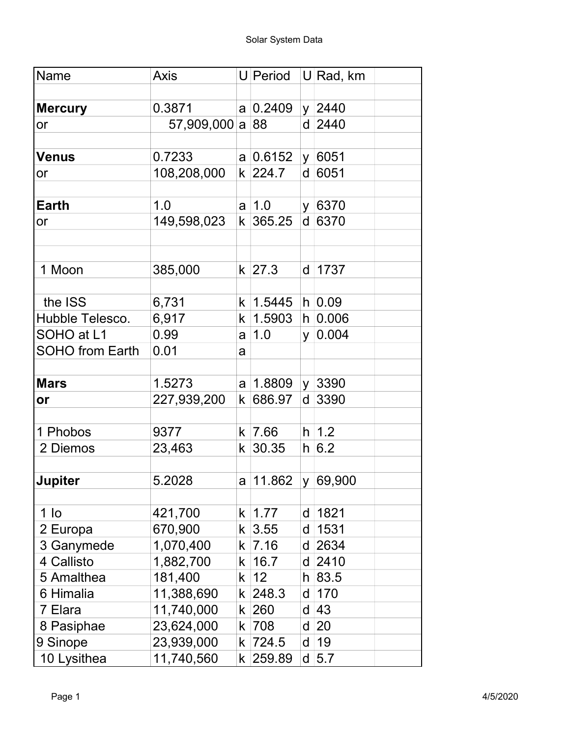| Name                   | <b>Axis</b>     |                      |               |    | U Period U Rad, km |
|------------------------|-----------------|----------------------|---------------|----|--------------------|
| <b>Mercury</b>         | 0.3871          |                      | a 0.2409      |    | $y \mid 2440$      |
| or                     | 57,909,000 a 88 |                      |               |    | $d$ 2440           |
|                        |                 |                      |               |    |                    |
| <b>Venus</b>           | 0.7233          |                      | a 0.6152      |    | y 6051             |
| or                     | 108,208,000     |                      | k 224.7       |    | d 6051             |
|                        |                 |                      |               |    |                    |
| <b>Earth</b>           | 1.0             |                      | $a \mid 1.0$  |    | y 6370             |
| or                     | 149,598,023     | $\mathsf k$          | 365.25        |    | $d$ 6370           |
|                        |                 |                      |               |    |                    |
|                        |                 |                      |               |    |                    |
| 1 Moon                 | 385,000         |                      | $k$ 27.3      |    | d   1737           |
|                        |                 |                      |               |    |                    |
| the ISS                | 6,731           |                      | k   1.5445    |    | $h$ 0.09           |
| Hubble Telesco.        | 6,917           |                      | k  1.5903     |    | $h$ 0.006          |
| SOHO at L1             | 0.99            | a                    | 1.0           | y. | 0.004              |
| <b>SOHO from Earth</b> | 0.01            | a                    |               |    |                    |
|                        |                 |                      |               |    |                    |
| <b>Mars</b>            | 1.5273          |                      | a   1.8809    |    | y 3390             |
| or                     | 227,939,200     | k                    | 686.97        | d  | 3390               |
|                        |                 |                      |               |    |                    |
| 1 Phobos               | 9377            |                      | k   7.66      |    | $h$ 1.2            |
| 2 Diemos               | 23,463          |                      | k 30.35       |    | h 6.2              |
|                        |                 |                      |               |    |                    |
| Jupiter                | 5.2028          |                      | a  11.862     |    | y   69,900         |
|                        |                 |                      |               |    |                    |
| $1$ lo                 | 421,700         |                      | $k \mid 1.77$ | d  | 1821               |
| 2 Europa               | 670,900         |                      | k 3.55        | d  | 1531               |
| 3 Ganymede             | 1,070,400       | k.                   | 7.16          | d  | 2634               |
| 4 Callisto             | 1,882,700       | k.                   | 16.7          | d  | 2410               |
| 5 Amalthea             | 181,400         | k                    | 12            |    | $h$ 83.5           |
| 6 Himalia              | 11,388,690      |                      | k 248.3       | d  | 170                |
| 7 Elara                | 11,740,000      | $\mathsf k\,$ $\mid$ | 260           | d  | 43                 |
| 8 Pasiphae             | 23,624,000      |                      | k   708       | d  | 20                 |
| 9 Sinope               | 23,939,000      |                      | k 724.5       | d  | 19                 |
| 10 Lysithea            | 11,740,560      |                      | k 259.89      | d  | 5.7                |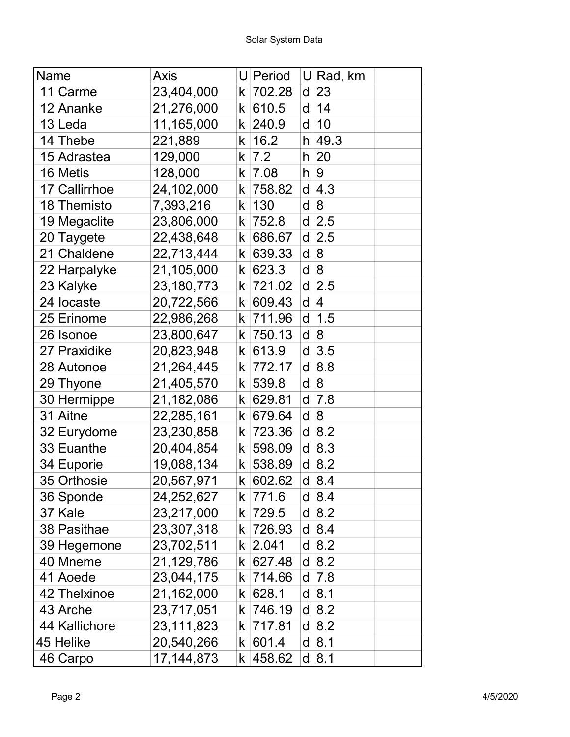| Name          | Axis         |                    | U Period  |   | U Rad, km         |
|---------------|--------------|--------------------|-----------|---|-------------------|
| 11 Carme      | 23,404,000   | k                  | 702.28    | d | 23                |
| 12 Ananke     | 21,276,000   | k                  | 610.5     | d | 14                |
| 13 Leda       | 11,165,000   | k                  | 240.9     | d | 10                |
| 14 Thebe      | 221,889      | k                  | 16.2      | h | 49.3              |
| 15 Adrastea   | 129,000      | k                  | 7.2       | h | 20                |
| 16 Metis      | 128,000      | k                  | 7.08      | h | 9                 |
| 17 Callirrhoe | 24,102,000   | k                  | 758.82    | d | 4.3               |
| 18 Themisto   | 7,393,216    | k                  | 130       | d | 8                 |
| 19 Megaclite  | 23,806,000   | k                  | 752.8     | d | $\vert 2.5 \vert$ |
| 20 Taygete    | 22,438,648   | k                  | 686.67    | d | $\vert 2.5 \vert$ |
| 21 Chaldene   | 22,713,444   | k                  | 639.33    | d | 8                 |
| 22 Harpalyke  | 21,105,000   | k                  | 623.3     | d | 8                 |
| 23 Kalyke     | 23,180,773   | k                  | 721.02    | d | 2.5               |
| 24 locaste    | 20,722,566   | k                  | 609.43    | d | 4                 |
| 25 Erinome    | 22,986,268   | k                  | 711.96    | d | 1.5               |
| 26 Isonoe     | 23,800,647   | k.                 | 750.13    | d | 8                 |
| 27 Praxidike  | 20,823,948   | k                  | 613.9     | d | 3.5               |
| 28 Autonoe    | 21,264,445   | k                  | 772.17    | d | 8.8               |
| 29 Thyone     | 21,405,570   | k                  | 539.8     | d | 8                 |
| 30 Hermippe   | 21,182,086   | k                  | 629.81    | d | 7.8               |
| 31 Aitne      | 22,285,161   | k                  | 679.64    | d | 8                 |
| 32 Eurydome   | 23,230,858   | k                  | 723.36    | d | 8.2               |
| 33 Euanthe    | 20,404,854   | k                  | 598.09    | d | 8.3               |
| 34 Euporie    | 19,088,134   | $\mathsf k$ $\mid$ | 538.89    | d | 8.2               |
| 35 Orthosie   | 20,567,971   |                    | k 602.62  |   | $d \,   8.4$      |
| 36 Sponde     | 24,252,627   |                    | k 771.6   |   | $d \,   8.4$      |
| 37 Kale       | 23,217,000   |                    | k  729.5  |   | $d \,   8.2$      |
| 38 Pasithae   | 23,307,318   | k.                 | 726.93    | d | 8.4               |
| 39 Hegemone   | 23,702,511   |                    | $k$ 2.041 |   | $d \,   8.2$      |
| 40 Mneme      | 21,129,786   |                    | k  627.48 | d | 8.2               |
| 41 Aoede      | 23,044,175   |                    | k  714.66 | d | 7.8               |
| 42 Thelxinoe  | 21,162,000   |                    | k  628.1  | d | 8.1               |
| 43 Arche      | 23,717,051   | k.                 | 746.19    | d | 8.2               |
| 44 Kallichore | 23,111,823   |                    | k  717.81 | d | 8.2               |
| 45 Helike     | 20,540,266   |                    | k   601.4 | d | 8.1               |
| 46 Carpo      | 17, 144, 873 |                    | k  458.62 |   | $d$ 8.1           |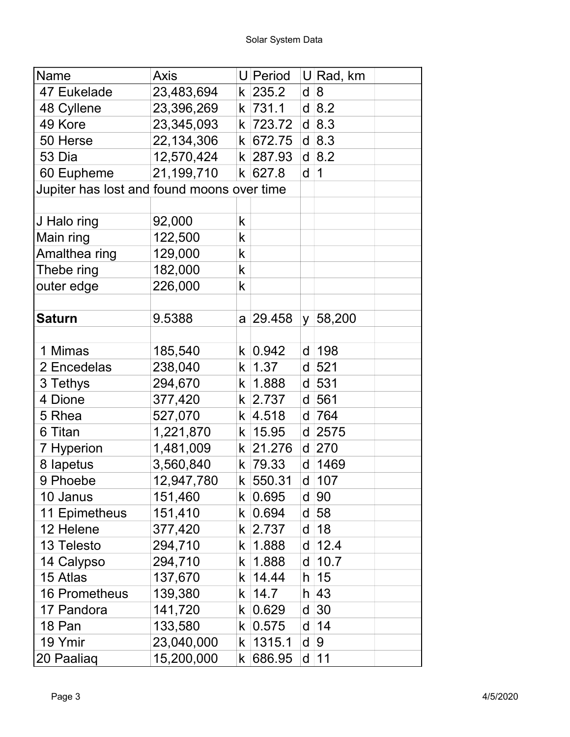| Name                                       | Axis       |                      | U Period       | U  | Rad, km    |
|--------------------------------------------|------------|----------------------|----------------|----|------------|
| 47 Eukelade                                | 23,483,694 |                      | k 235.2        | d  | 8          |
| 48 Cyllene                                 | 23,396,269 |                      | k  731.1       |    | $d$ 8.2    |
| 49 Kore                                    | 23,345,093 | k.                   | 723.72         | d  | 8.3        |
| 50 Herse                                   | 22,134,306 |                      | k 672.75       |    | d 8.3      |
| 53 Dia                                     | 12,570,424 |                      | k 287.93       | d  | 8.2        |
| 60 Eupheme                                 | 21,199,710 |                      | k   627.8      | d  | $\vert$ 1  |
| Jupiter has lost and found moons over time |            |                      |                |    |            |
|                                            |            |                      |                |    |            |
| J Halo ring                                | 92,000     | k                    |                |    |            |
| Main ring                                  | 122,500    | k                    |                |    |            |
| Amalthea ring                              | 129,000    | k                    |                |    |            |
| Thebe ring                                 | 182,000    | k                    |                |    |            |
| outer edge                                 | 226,000    | k                    |                |    |            |
|                                            |            |                      |                |    |            |
| <b>Saturn</b>                              | 9.5388     |                      | a 29.458       |    | y   58,200 |
|                                            |            |                      |                |    |            |
| 1 Mimas                                    | 185,540    |                      | k 0.942        | d  | 198        |
| 2 Encedelas                                | 238,040    | k.                   | 1.37           | d  | 521        |
| 3 Tethys                                   | 294,670    |                      | k   1.888      | d  | 531        |
| 4 Dione                                    | 377,420    |                      | k 2.737        | d  | 561        |
| 5 Rhea                                     | 527,070    |                      | k 4.518        | d  | 764        |
| 6 Titan                                    | 1,221,870  | k.                   | 15.95          | d  | 2575       |
| 7 Hyperion                                 | 1,481,009  |                      | k 21.276       | d  | 270        |
| 8 lapetus                                  | 3,560,840  |                      | k 79.33        | d  | 1469       |
| 9 Phoebe                                   | 12,947,780 |                      | k 550.31       | d  | 107        |
| 10 Janus                                   | 151,460    | $\mathsf k$          | 0.695          | d  | 90         |
| 11 Epimetheus                              | 151,410    |                      | k   0.694      | d  | 58         |
| 12 Helene                                  | 377,420    |                      | k 2.737        | d  | 18         |
| 13 Telesto                                 | 294,710    | k.                   | 1.888          | d  | 12.4       |
| 14 Calypso                                 | 294,710    | k.                   | 1.888          | d  | 10.7       |
| 15 Atlas                                   | 137,670    | k.                   | 14.44          | h. | 15         |
| <b>16 Prometheus</b>                       | 139,380    | k.                   | 14.7           |    | $h$ 43     |
| 17 Pandora                                 | 141,720    |                      | k   0.629      | d  | 30         |
| 18 Pan                                     | 133,580    |                      | $k \,   0.575$ | d  | 14         |
| 19 Ymir                                    | 23,040,000 | k.                   | 1315.1         | d  | 9          |
| 20 Paaliaq                                 | 15,200,000 | $\mathsf k\,$ $\mid$ | 686.95         | d  | 11         |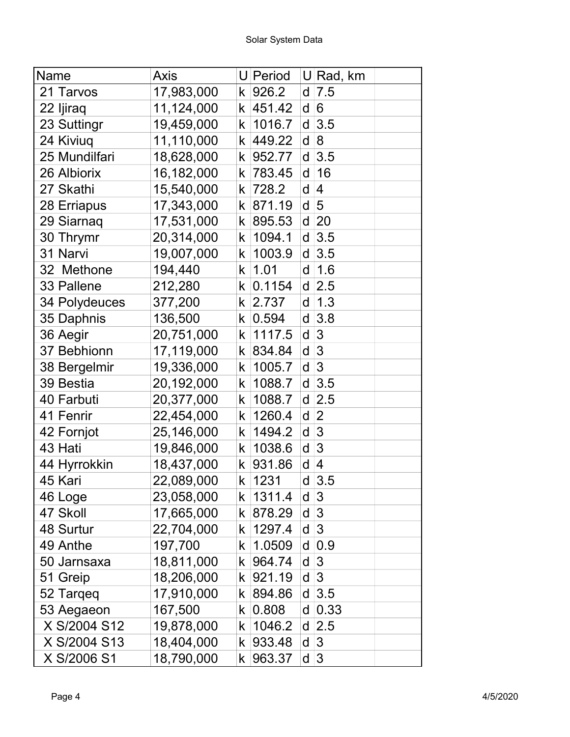| Name          | Axis       |             | U Period |   | U Rad, km      |  |
|---------------|------------|-------------|----------|---|----------------|--|
| 21 Tarvos     | 17,983,000 | k           | 926.2    | d | 7.5            |  |
| 22 Ijiraq     | 11,124,000 | k           | 451.42   | d | 6              |  |
| 23 Suttingr   | 19,459,000 | k           | 1016.7   | d | 3.5            |  |
| 24 Kiviuq     | 11,110,000 | k           | 449.22   | d | 8              |  |
| 25 Mundilfari | 18,628,000 | k           | 952.77   | d | 3.5            |  |
| 26 Albiorix   | 16,182,000 | k           | 783.45   | d | 16             |  |
| 27 Skathi     | 15,540,000 | k           | 728.2    | d | 4              |  |
| 28 Erriapus   | 17,343,000 | k.          | 871.19   | d | 5              |  |
| 29 Siarnaq    | 17,531,000 | k           | 895.53   | d | 20             |  |
| 30 Thrymr     | 20,314,000 | k           | 1094.1   | d | 3.5            |  |
| 31 Narvi      | 19,007,000 | k           | 1003.9   | d | 3.5            |  |
| 32 Methone    | 194,440    | k           | 1.01     | d | 1.6            |  |
| 33 Pallene    | 212,280    | k           | 0.1154   | d | 2.5            |  |
| 34 Polydeuces | 377,200    | k           | 2.737    | d | 1.3            |  |
| 35 Daphnis    | 136,500    | k           | 0.594    | d | 3.8            |  |
| 36 Aegir      | 20,751,000 | k           | 1117.5   | d | $\mathfrak{B}$ |  |
| 37 Bebhionn   | 17,119,000 | k           | 834.84   | d | 3              |  |
| 38 Bergelmir  | 19,336,000 | k           | 1005.7   | d | 3              |  |
| 39 Bestia     | 20,192,000 | k           | 1088.7   | d | 3.5            |  |
| 40 Farbuti    | 20,377,000 | k           | 1088.7   | d | 2.5            |  |
| 41 Fenrir     | 22,454,000 | k           | 1260.4   | d | $\overline{2}$ |  |
| 42 Fornjot    | 25,146,000 | k           | 1494.2   | d | 3              |  |
| 43 Hati       | 19,846,000 | k           | 1038.6   | d | 3              |  |
| 44 Hyrrokkin  | 18,437,000 | k           | 931.86   | d | 4              |  |
| 45 Kari       | 22,089,000 |             | k   1231 | d | 3.5            |  |
| 46 Loge       | 23,058,000 | k.          | 1311.4   | d | 3              |  |
| 47 Skoll      | 17,665,000 |             | k 878.29 | d | 3              |  |
| 48 Surtur     | 22,704,000 | k.          | 1297.4   | d | 3              |  |
| 49 Anthe      | 197,700    | k.          | 1.0509   | d | 0.9            |  |
| 50 Jarnsaxa   | 18,811,000 | k           | 964.74   | d | 3              |  |
| 51 Greip      | 18,206,000 | k.          | 921.19   | d | 3              |  |
| 52 Targeg     | 17,910,000 | k l         | 894.86   | d | 3.5            |  |
| 53 Aegaeon    | 167,500    | k.          | 0.808    | d | 0.33           |  |
| X S/2004 S12  | 19,878,000 | k.          | 1046.2   | d | 2.5            |  |
| X S/2004 S13  | 18,404,000 | k           | 933.48   | d | 3              |  |
| X S/2006 S1   | 18,790,000 | $\mathsf k$ | 963.37   | d | 3              |  |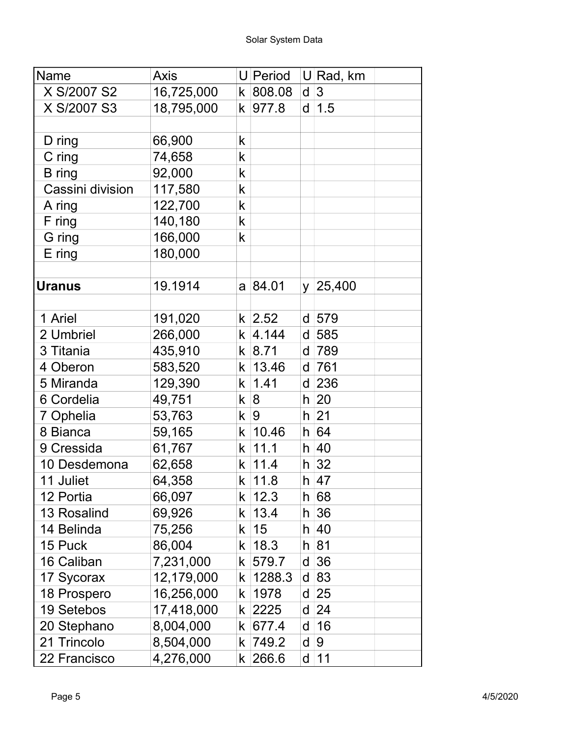| Name               | Axis       |    | U Period       |    | U Rad, km |  |
|--------------------|------------|----|----------------|----|-----------|--|
| X S/2007 S2        | 16,725,000 |    | k 808.08       | d  | 3         |  |
| X S/2007 S3        | 18,795,000 |    | k 977.8        | d  | 1.5       |  |
|                    |            |    |                |    |           |  |
| D ring             | 66,900     | k  |                |    |           |  |
| C ring             | 74,658     | k  |                |    |           |  |
| <b>B</b> ring      | 92,000     | k  |                |    |           |  |
| Cassini division   | 117,580    | k  |                |    |           |  |
| A ring             | 122,700    | k  |                |    |           |  |
| F ring             | 140,180    | k  |                |    |           |  |
| G ring             | 166,000    | k  |                |    |           |  |
| $E$ ring           | 180,000    |    |                |    |           |  |
|                    |            |    |                |    |           |  |
| <b>Uranus</b>      | 19.1914    |    | a 84.01        | y  | 25,400    |  |
|                    |            |    |                |    |           |  |
| 1 Ariel            | 191,020    |    | k 2.52         | d  | 579       |  |
| 2 Umbriel          | 266,000    |    | $k \,   4.144$ | d  | 585       |  |
| 3 Titania          | 435,910    |    | $k$ 8.71       | d  | 789       |  |
| 4 Oberon           | 583,520    |    | $k \mid 13.46$ | d  | 761       |  |
| 5 Miranda          | 129,390    |    | k   1.41       | d  | 236       |  |
| 6 Cordelia         | 49,751     |    | k 8            | h  | 20        |  |
| 7 Ophelia          | 53,763     |    | k   9          | h  | 21        |  |
| 8 Bianca           | 59,165     |    | $k \mid 10.46$ | h. | 64        |  |
| 9 Cressida         | 61,767     |    | $k$ 11.1       |    | $h$ 40    |  |
| 10 Desdemona       | 62,658     |    | k   11.4       |    | $h \, 32$ |  |
| 11 Juliet          | 64,358     |    | k   11.8       |    | h  47     |  |
| 12 Portia          | 66,097     | k. | 12.3           | h  | 68        |  |
| <b>13 Rosalind</b> | 69,926     | k  | 13.4           | h. | 36        |  |
| 14 Belinda         | 75,256     | k. | 15             | h  | 40        |  |
| 15 Puck            | 86,004     | k. | 18.3           | h  | 81        |  |
| 16 Caliban         | 7,231,000  | k  | 579.7          | d  | 36        |  |
| 17 Sycorax         | 12,179,000 | k  | 1288.3         | d  | 83        |  |
| 18 Prospero        | 16,256,000 | k  | 1978           | d  | 25        |  |
| 19 Setebos         | 17,418,000 | k. | 2225           | d  | 24        |  |
| 20 Stephano        | 8,004,000  |    | k  677.4       | d  | 16        |  |
| 21 Trincolo        | 8,504,000  | k  | 749.2          | d  | 9         |  |
| 22 Francisco       | 4,276,000  |    | k 266.6        | d  | 11        |  |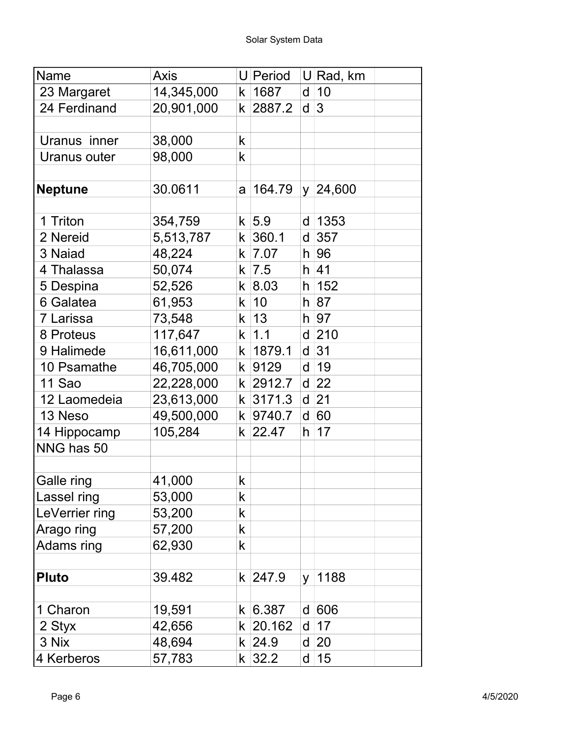| Name           | <b>Axis</b> |             | U Period   |          | $U$ Rad, km     |
|----------------|-------------|-------------|------------|----------|-----------------|
| 23 Margaret    | 14,345,000  |             | k   1687   | d        | 10              |
| 24 Ferdinand   | 20,901,000  |             | k 2887.2   | d        | 3               |
|                |             |             |            |          |                 |
| Uranus inner   | 38,000      | $\mathsf k$ |            |          |                 |
| Uranus outer   | 98,000      | $\mathsf k$ |            |          |                 |
|                |             |             |            |          |                 |
| <b>Neptune</b> | 30.0611     | a           | 164.79     |          | $y \mid 24,600$ |
| 1 Triton       | 354,759     |             | $k$ 5.9    | d        | 1353            |
| 2 Nereid       | 5,513,787   |             | $k$ 360.1  | d        | 357             |
| 3 Naiad        | 48,224      |             | $k$  7.07  | h        | 96              |
| 4 Thalassa     | 50,074      |             | k   7.5    |          | $h$ 41          |
| 5 Despina      | 52,526      |             | k   8.03   |          | $h$ 152         |
| 6 Galatea      | 61,953      |             | k 10       |          | h 87            |
| 7 Larissa      | 73,548      |             | $k$ 13     |          | $h$ 97          |
| 8 Proteus      | 117,647     |             | $k$ 1.1    |          | $d$ 210         |
| 9 Halimede     | 16,611,000  |             | k   1879.1 | d        | 31              |
| 10 Psamathe    | 46,705,000  |             | k 9129     | d        | 19              |
| 11 Sao         | 22,228,000  |             | k 2912.7   |          | $d$ 22          |
| 12 Laomedeia   | 23,613,000  |             | k 3171.3   | d        | 21              |
| 13 Neso        | 49,500,000  |             | k 9740.7   |          | d 60            |
| 14 Hippocamp   | 105,284     |             | $k$ 22.47  | h.       | 17              |
| NNG has 50     |             |             |            |          |                 |
|                |             |             |            |          |                 |
| Galle ring     | 41,000      | k           |            |          |                 |
| Lassel ring    | 53,000      | k           |            |          |                 |
| LeVerrier ring | 53,200      | k           |            |          |                 |
| Arago ring     | 57,200      | k           |            |          |                 |
| Adams ring     | 62,930      | k           |            |          |                 |
| <b>Pluto</b>   | 39.482      |             | k 247.9    | <b>y</b> | 1188            |
| 1 Charon       | 19,591      |             | k   6.387  |          | d 606           |
| 2 Styx         | 42,656      |             | $k$ 20.162 | d        | 17              |
| 3 Nix          | 48,694      |             | $k$ 24.9   | d        | 20              |
| 4 Kerberos     | 57,783      |             | $k$ 32.2   | d        | 15              |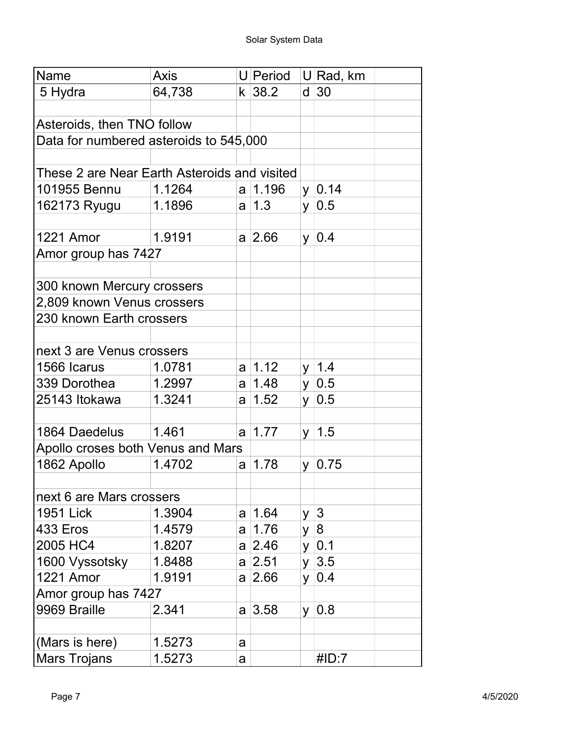| Name                                         | <b>Axis</b> |   | U Period      |          | U Rad, km     |  |
|----------------------------------------------|-------------|---|---------------|----------|---------------|--|
| 5 Hydra                                      | 64,738      |   | k 38.2        |          | $d$ 30        |  |
|                                              |             |   |               |          |               |  |
| Asteroids, then TNO follow                   |             |   |               |          |               |  |
| Data for numbered asteroids to 545,000       |             |   |               |          |               |  |
|                                              |             |   |               |          |               |  |
| These 2 are Near Earth Asteroids and visited |             |   |               |          |               |  |
| 101955 Bennu                                 | 1.1264      |   | a   1.196     |          | $y \mid 0.14$ |  |
| 162173 Ryugu                                 | 1.1896      |   | $a \mid 1.3$  |          | $y \mid 0.5$  |  |
|                                              |             |   |               |          |               |  |
| <b>1221 Amor</b>                             | 1.9191      |   | $a \,   2.66$ |          | $y \mid 0.4$  |  |
| Amor group has 7427                          |             |   |               |          |               |  |
|                                              |             |   |               |          |               |  |
| 300 known Mercury crossers                   |             |   |               |          |               |  |
| 2,809 known Venus crossers                   |             |   |               |          |               |  |
| 230 known Earth crossers                     |             |   |               |          |               |  |
|                                              |             |   |               |          |               |  |
| next 3 are Venus crossers                    |             |   |               |          |               |  |
| 1566 Icarus                                  | 1.0781      |   | $a \mid 1.12$ |          | $y \mid 1.4$  |  |
| 339 Dorothea                                 | 1.2997      |   | a  1.48       |          | $y \mid 0.5$  |  |
| 25143 Itokawa                                | 1.3241      | a | 1.52          |          | $y \mid 0.5$  |  |
|                                              |             |   |               |          |               |  |
| 1864 Daedelus                                | 1.461       |   | $a \mid 1.77$ |          | $y \mid 1.5$  |  |
| Apollo croses both Venus and Mars            |             |   |               |          |               |  |
| 1862 Apollo                                  | 1.4702      | a | 1.78          | y.       | 0.75          |  |
|                                              |             |   |               |          |               |  |
| next 6 are Mars crossers                     |             |   |               |          |               |  |
| <b>1951 Lick</b>                             | 1.3904      | a | 1.64          |          | y $ 3 $       |  |
| 433 Eros                                     | 1.4579      | a | 1.76          | y        | 8             |  |
| 2005 HC4                                     | 1.8207      |   | a 2.46        | y.       | 0.1           |  |
| 1600 Vyssotsky                               | 1.8488      |   | a 2.51        | <b>y</b> | 3.5           |  |
| <b>1221 Amor</b>                             | 1.9191      |   | $a \,   2.66$ |          | $y \mid 0.4$  |  |
| Amor group has 7427                          |             |   |               |          |               |  |
| 9969 Braille                                 | 2.341       |   | $a \,   3.58$ |          | $y \mid 0.8$  |  |
|                                              |             |   |               |          |               |  |
| (Mars is here)                               | 1.5273      | a |               |          |               |  |
| <b>Mars Trojans</b>                          | 1.5273      | a |               |          | #ID:7         |  |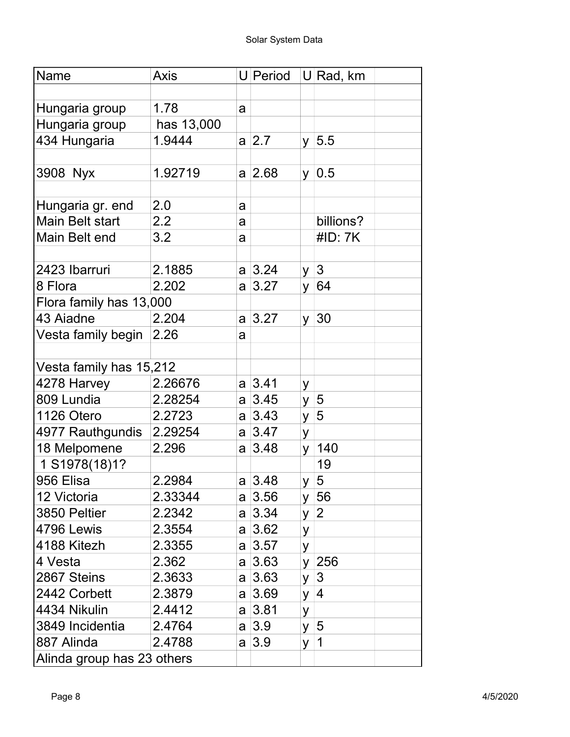| Name                       | <b>Axis</b> |   | U Period      |             | U Rad, km       |  |
|----------------------------|-------------|---|---------------|-------------|-----------------|--|
|                            |             |   |               |             |                 |  |
| Hungaria group             | 1.78        | a |               |             |                 |  |
| Hungaria group             | has 13,000  |   |               |             |                 |  |
| 434 Hungaria               | 1.9444      |   | $a \,   2.7$  |             | $y \vert 5.5$   |  |
|                            |             |   |               |             |                 |  |
| 3908 Nyx                   | 1.92719     |   | $a \,   2.68$ |             | $y \mid 0.5$    |  |
|                            |             |   |               |             |                 |  |
| Hungaria gr. end           | 2.0         | a |               |             |                 |  |
| <b>Main Belt start</b>     | 2.2         | a |               |             | billions?       |  |
| Main Belt end              | 3.2         | a |               |             | #ID: 7K         |  |
|                            |             |   |               |             |                 |  |
| 2423 Ibarruri              | 2.1885      |   | $a \,   3.24$ |             | $y \mid 3$      |  |
| 8 Flora                    | 2.202       |   | a 3.27        | y           | 64              |  |
| Flora family has 13,000    |             |   |               |             |                 |  |
| 43 Aiadne                  | 2.204       |   | a 3.27        |             | $y \mid 30$     |  |
| Vesta family begin         | 2.26        | a |               |             |                 |  |
|                            |             |   |               |             |                 |  |
| Vesta family has 15,212    |             |   |               |             |                 |  |
| 4278 Harvey                | 2.26676     |   | $a \,   3.41$ | У           |                 |  |
| 809 Lundia                 | 2.28254     |   | $a \,   3.45$ | y           | 5               |  |
| 1126 Otero                 | 2.2723      |   | a 3.43        | y.          | $\sqrt{5}$      |  |
| 4977 Rauthgundis 2.29254   |             |   | a 3.47        | y           |                 |  |
| 18 Melpomene               | 2.296       |   | $a \,   3.48$ | <b>y</b>    | 140             |  |
| 1 S1978(18)1?              |             |   |               |             | 19              |  |
| 956 Elisa                  | 2.2984      |   | $a \,   3.48$ | $y \vert 5$ |                 |  |
| 12 Victoria                | 2.33344     |   | $a \,   3.56$ |             | y $ 56$         |  |
| 3850 Peltier               | 2.2342      |   | a  3.34       |             | $y \mid 2$      |  |
| 4796 Lewis                 | 2.3554      |   | a 3.62        | У           |                 |  |
| 4188 Kitezh                | 2.3355      |   | a 3.57        | У           |                 |  |
| 4 Vesta                    | 2.362       |   | a 3.63        |             | y 256           |  |
| 2867 Steins                | 2.3633      |   | $a \,   3.63$ |             | $y \mid 3$      |  |
| 2442 Corbett               | 2.3879      |   | a 3.69        | <b>y</b>    | $\vert 4 \vert$ |  |
| 4434 Nikulin               | 2.4412      |   | a 3.81        | У           |                 |  |
| 3849 Incidentia            | 2.4764      |   | $a \,   3.9$  | y.          | $\sqrt{5}$      |  |
| 887 Alinda                 | 2.4788      |   | a 3.9         | У           | $\vert$ 1       |  |
| Alinda group has 23 others |             |   |               |             |                 |  |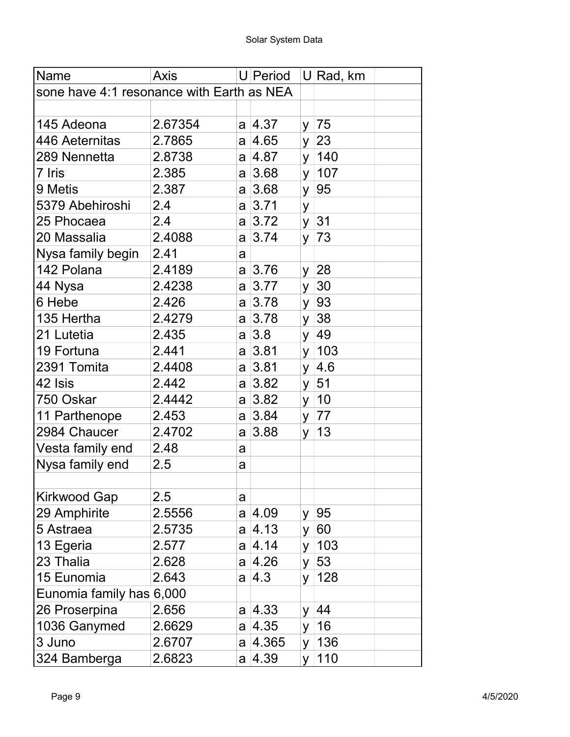| Name                                      | <b>Axis</b> |   | U Period      |    | U Rad, km    |
|-------------------------------------------|-------------|---|---------------|----|--------------|
| sone have 4:1 resonance with Earth as NEA |             |   |               |    |              |
|                                           |             |   |               |    |              |
| 145 Adeona                                | 2.67354     |   | a 4.37        |    | y $ 75$      |
| 446 Aeternitas                            | 2.7865      |   | a  4.65       | y  | 23           |
| 289 Nennetta                              | 2.8738      |   | a  4.87       |    | y   140      |
| 7 Iris                                    | 2.385       |   | a 3.68        |    | $y \mid 107$ |
| 9 Metis                                   | 2.387       | a | 3.68          | y  | 95           |
| 5379 Abehiroshi                           | 2.4         |   | a 3.71        | У  |              |
| 25 Phocaea                                | 2.4         | a | 3.72          |    | y 31         |
| 20 Massalia                               | 2.4088      | a | 3.74          | y  | 73           |
| Nysa family begin                         | 2.41        | a |               |    |              |
| 142 Polana                                | 2.4189      | a | 3.76          | y  | 28           |
| 44 Nysa                                   | 2.4238      | a | 3.77          | y  | 30           |
| 6 Hebe                                    | 2.426       | a | 3.78          |    | y  93        |
| 135 Hertha                                | 2.4279      |   | a 3.78        | y  | 38           |
| 21 Lutetia                                | 2.435       | a | 3.8           | y  | 49           |
| 19 Fortuna                                | 2.441       |   | a 3.81        |    | $y \mid 103$ |
| 2391 Tomita                               | 2.4408      | a | 3.81          | y. | 4.6          |
| 42 Isis                                   | 2.442       |   | a 3.82        |    | $y \mid 51$  |
| 750 Oskar                                 | 2.4442      | a | 3.82          |    | $y \mid 10$  |
| 11 Parthenope                             | 2.453       | a | 3.84          |    | $y \mid 77$  |
| 2984 Chaucer                              | 2.4702      | a | 3.88          | y  | 13           |
| Vesta family end                          | 2.48        | a |               |    |              |
| Nysa family end                           | 2.5         | a |               |    |              |
|                                           |             |   |               |    |              |
| Kirkwood Gap                              | $2.5\,$     | a |               |    |              |
| 29 Amphirite                              | 2.5556      |   | a  4.09       | y  | 95           |
| 5 Astraea                                 | 2.5735      | a | 4.13          | У  | 60           |
| 13 Egeria                                 | 2.577       |   | $a \,   4.14$ | y  | 103          |
| 23 Thalia                                 | 2.628       | a | 4.26          | У  | 53           |
| 15 Eunomia                                | 2.643       | a | 4.3           | y  | 128          |
| Eunomia family has 6,000                  |             |   |               |    |              |
| 26 Proserpina                             | 2.656       |   | a  4.33       | y  | 44           |
| 1036 Ganymed                              | 2.6629      |   | a  4.35       | y  | 16           |
| 3 Juno                                    | 2.6707      |   | a  4.365      | У  | 136          |
| 324 Bamberga                              | 2.6823      |   | a  4.39       | V  | 110          |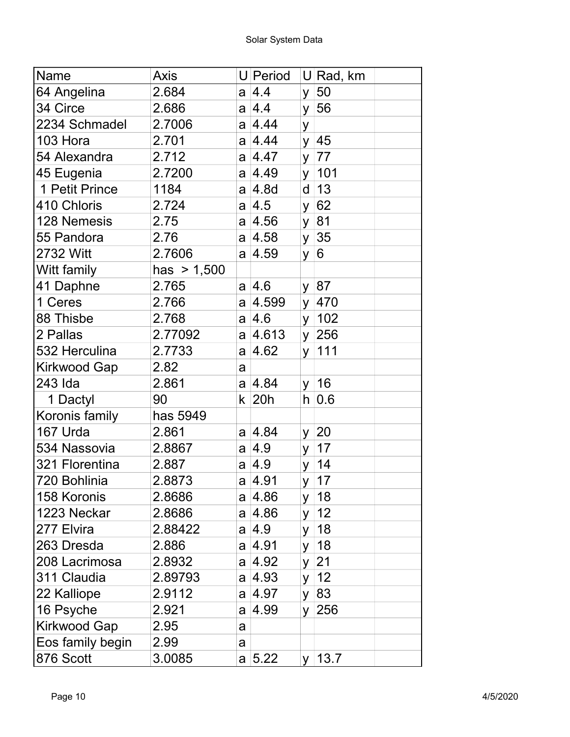| Name                | Axis          |     | U Period         |    | $U$ Rad, km |
|---------------------|---------------|-----|------------------|----|-------------|
| 64 Angelina         | 2.684         | a   | $\overline{4.4}$ | У  | 50          |
| 34 Circe            | 2.686         |     | a 4.4            | y  | 56          |
| 2234 Schmadel       | 2.7006        |     | a  4.44          | У  |             |
| 103 Hora            | 2.701         |     | a 4.44           | y  | 45          |
| 54 Alexandra        | 2.712         |     | a  4.47          | y  | 77          |
| 45 Eugenia          | 2.7200        |     | a 4.49           |    | y   101     |
| 1 Petit Prince      | 1184          | a l | 4.8d             | d  | 13          |
| 410 Chloris         | 2.724         |     | a  4.5           | У  | 62          |
| 128 Nemesis         | 2.75          |     | a 4.56           | y  | 81          |
| 55 Pandora          | 2.76          |     | a  4.58          | У  | 35          |
| 2732 Witt           | 2.7606        |     | a 4.59           | У  | 6           |
| Witt family         | has $> 1,500$ |     |                  |    |             |
| 41 Daphne           | 2.765         |     | a 4.6            | y  | 87          |
| 1 Ceres             | 2.766         |     | a  4.599         | y  | 470         |
| 88 Thisbe           | 2.768         |     | a  4.6           | y  | 102         |
| 2 Pallas            | 2.77092       | a   | 4.613            |    | y $ 256$    |
| 532 Herculina       | 2.7733        |     | a  4.62          | y  | 111         |
| Kirkwood Gap        | 2.82          | a   |                  |    |             |
| 243 Ida             | 2.861         |     | a 4.84           | y  | 16          |
| 1 Dactyl            | 90            | k   | 20h              | h  | 0.6         |
| Koronis family      | has 5949      |     |                  |    |             |
| 167 Urda            | 2.861         |     | a 4.84           | У  | 20          |
| 534 Nassovia        | 2.8867        | a   | 4.9              | У  | 17          |
| 321 Florentina      | 2.887         |     | a  4.9           | y  | 14          |
| 720 Bohlinia        | 2.8873        | a   | 4.91             |    | $y \mid 17$ |
| 158 Koronis         | 2.8686        |     | a  4.86          | У  | 18          |
| 1223 Neckar         | 2.8686        |     | a  4.86          | y  | 12          |
| 277 Elvira          | 2.88422       |     | a  4.9           | У  | 18          |
| 263 Dresda          | 2.886         |     | a  4.91          | y  | 18          |
| 208 Lacrimosa       | 2.8932        |     | a  4.92          | У  | 21          |
| 311 Claudia         | 2.89793       |     | a  4.93          | У  | 12          |
| 22 Kalliope         | 2.9112        |     | a  4.97          | y  | 83          |
| 16 Psyche           | 2.921         |     | a  4.99          | y  | 256         |
| <b>Kirkwood Gap</b> | 2.95          | a   |                  |    |             |
| Eos family begin    | 2.99          | a   |                  |    |             |
| 876 Scott           | 3.0085        |     | a 5.22           | V. | 13.7        |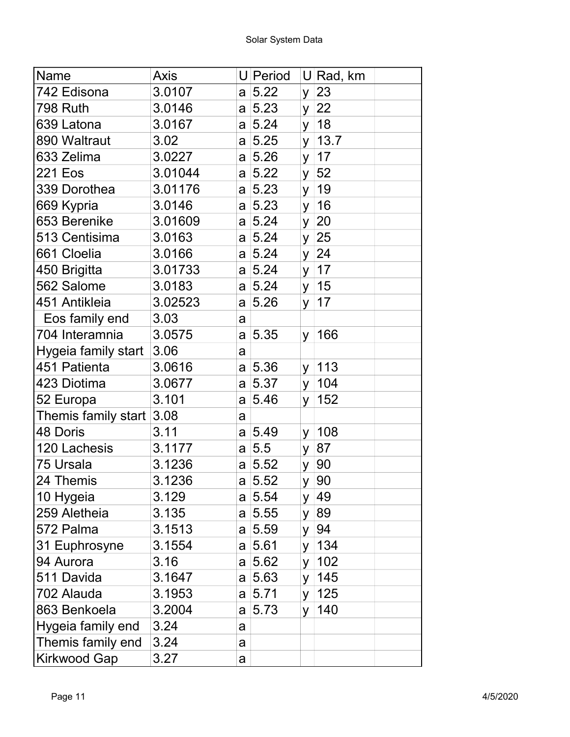| Name                | <b>Axis</b> |   | U Period |    | U Rad, km |
|---------------------|-------------|---|----------|----|-----------|
| 742 Edisona         | 3.0107      | a | 5.22     | У  | 23        |
| <b>798 Ruth</b>     | 3.0146      |   | a 5.23   | y  | 22        |
| 639 Latona          | 3.0167      |   | a 5.24   | y  | 18        |
| 890 Waltraut        | 3.02        |   | a 5.25   | y  | 13.7      |
| 633 Zelima          | 3.0227      | a | 5.26     | y  | 17        |
| 221 Eos             | 3.01044     |   | a 5.22   | y  | 52        |
| 339 Dorothea        | 3.01176     | a | 5.23     | y  | 19        |
| 669 Kypria          | 3.0146      |   | a 5.23   | У  | 16        |
| 653 Berenike        | 3.01609     |   | a 5.24   | y  | 20        |
| 513 Centisima       | 3.0163      |   | a 5.24   | У  | 25        |
| 661 Cloelia         | 3.0166      | a | 5.24     | y  | 24        |
| 450 Brigitta        | 3.01733     | a | 5.24     | y  | 17        |
| 562 Salome          | 3.0183      |   | a 5.24   | y  | 15        |
| 451 Antikleia       | 3.02523     | a | 5.26     | y  | 17        |
| Eos family end      | 3.03        | a |          |    |           |
| 704 Interamnia      | 3.0575      | a | 5.35     | y. | 166       |
| Hygeia family start | 3.06        | a |          |    |           |
| 451 Patienta        | 3.0616      | a | 5.36     | y  | 113       |
| 423 Diotima         | 3.0677      |   | a 5.37   | У  | 104       |
| 52 Europa           | 3.101       | a | 5.46     | У  | 152       |
| Themis family start | 3.08        | a |          |    |           |
| 48 Doris            | 3.11        |   | a 5.49   | y  | 108       |
| 120 Lachesis        | 3.1177      |   | a 5.5    | У  | 87        |
| 75 Ursala           | 3.1236      |   | a 5.52   | y  | 90        |
| 24 Themis           | 3.1236      |   | a  5.52  | y  | 90        |
| 10 Hygeia           | 3.129       |   | a 5.54   | y. | 49        |
| 259 Aletheia        | 3.135       |   | a 5.55   | y  | 89        |
| 572 Palma           | 3.1513      |   | a 5.59   | y  | 94        |
| 31 Euphrosyne       | 3.1554      |   | a 5.61   | y  | 134       |
| 94 Aurora           | 3.16        |   | a 5.62   | У  | 102       |
| 511 Davida          | 3.1647      | a | 5.63     | y  | 145       |
| 702 Alauda          | 3.1953      |   | a 5.71   | y  | 125       |
| 863 Benkoela        | 3.2004      | a | 5.73     | y  | 140       |
| Hygeia family end   | 3.24        | a |          |    |           |
| Themis family end   | 3.24        | a |          |    |           |
| <b>Kirkwood Gap</b> | 3.27        | a |          |    |           |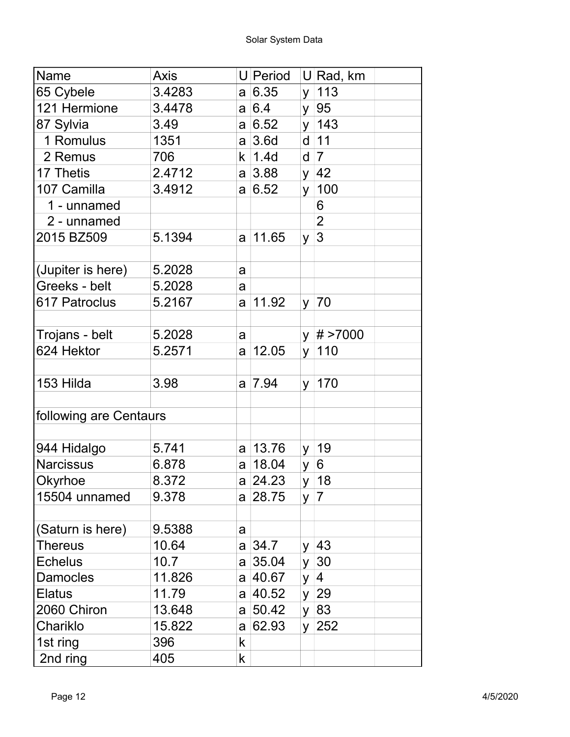| Name                   | Axis   |    | U Period       |          | $U$ Rad, km    |
|------------------------|--------|----|----------------|----------|----------------|
| 65 Cybele              | 3.4283 |    | a 6.35         |          | y   113        |
| 121 Hermione           | 3.4478 |    | a 6.4          |          | y  95          |
| 87 Sylvia              | 3.49   |    | a 6.52         |          | y   143        |
| 1 Romulus              | 1351   |    | $a \mid 3.6d$  |          | $d$ 11         |
| 2 Remus                | 706    |    | $k$   1.4d     |          | $d \mid 7$     |
| 17 Thetis              | 2.4712 |    | $a \,   3.88$  |          | y $ 42 $       |
| 107 Camilla            | 3.4912 |    | a 6.52         | y        | 100            |
| 1 - unnamed            |        |    |                |          | 6              |
| 2 - unnamed            |        |    |                |          | $\overline{2}$ |
| 2015 BZ509             | 5.1394 |    | $a \mid 11.65$ | y        | 3              |
| (Jupiter is here)      | 5.2028 | a  |                |          |                |
| Greeks - belt          | 5.2028 | a  |                |          |                |
| 617 Patroclus          | 5.2167 |    | a 11.92        |          | $y \mid 70$    |
|                        |        |    |                |          |                |
| Trojans - belt         | 5.2028 | a  |                |          | y $ # > 7000$  |
| 624 Hektor             | 5.2571 |    | $a \mid 12.05$ | <b>y</b> | 110            |
|                        |        |    |                |          |                |
| 153 Hilda              | 3.98   |    | a 7.94         |          | $y \mid 170$   |
| following are Centaurs |        |    |                |          |                |
| 944 Hidalgo            | 5.741  |    | a  13.76       | y.       | 19             |
| <b>Narcissus</b>       | 6.878  |    | a 18.04        | y  6     |                |
| Okyrhoe                | 8.372  |    | a 24.23        |          | $y \mid 18$    |
| 15504 unnamed          | 9.378  |    | a 28.75        |          | y  7           |
|                        |        |    |                |          |                |
| (Saturn is here)       | 9.5388 | a  |                |          |                |
| Thereus                | 10.64  |    | a 34.7         |          | y $ 43$        |
| <b>Echelus</b>         | 10.7   |    | $a \mid 35.04$ |          | $y \mid 30$    |
| <b>Damocles</b>        | 11.826 |    | a 40.67        |          | y  4           |
| Elatus                 | 11.79  |    | a 40.52        |          | $y \mid 29$    |
| 2060 Chiron            | 13.648 |    | a 50.42        |          | y 83           |
| Chariklo               | 15.822 |    | a 62.93        |          | y 252          |
| 1st ring               | 396    | k  |                |          |                |
| 2nd ring               | 405    | k. |                |          |                |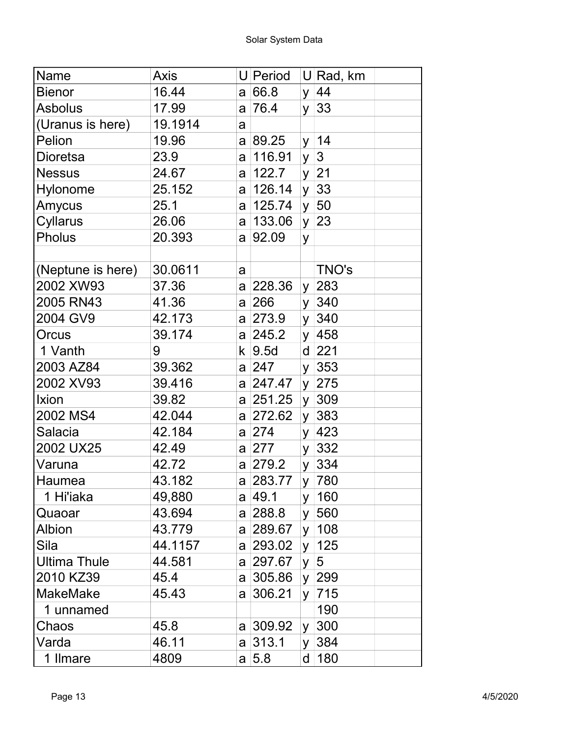| Name                | Axis    |   | U Period      |          | $U$ Rad, km     |
|---------------------|---------|---|---------------|----------|-----------------|
| <b>Bienor</b>       | 16.44   | a | 66.8          | y        | 44              |
| <b>Asbolus</b>      | 17.99   | a | 76.4          | y        | 33              |
| (Uranus is here)    | 19.1914 | a |               |          |                 |
| Pelion              | 19.96   |   | a  89.25      |          | y 14            |
| Dioretsa            | 23.9    | a | 116.91        | <b>y</b> | $\vert 3 \vert$ |
| <b>Nessus</b>       | 24.67   | a | 122.7         |          | y 21            |
| Hylonome            | 25.152  | a | 126.14        | y        | 33              |
| Amycus              | 25.1    |   | a  125.74     |          | y 50            |
| Cyllarus            | 26.06   |   | a 133.06      | y        | 23              |
| <b>Pholus</b>       | 20.393  | a | 92.09         | У        |                 |
|                     |         |   |               |          |                 |
| (Neptune is here)   | 30.0611 | a |               |          | TNO's           |
| 2002 XW93           | 37.36   |   | a 228.36      |          | y 283           |
| 2005 RN43           | 41.36   |   | a 266         |          | y 340           |
| 2004 GV9            | 42.173  |   | a 273.9       | y        | 340             |
| Orcus               | 39.174  |   | a 245.2       | y.       | 458             |
| 1 Vanth             | 9       |   | $k \mid 9.5d$ |          | $d$ 221         |
| 2003 AZ84           | 39.362  |   | a 247         |          | $y \mid 353$    |
| 2002 XV93           | 39.416  |   | a 247.47      |          | $y$ 275         |
| Ixion               | 39.82   |   | a 251.25      | y        | 309             |
| 2002 MS4            | 42.044  |   | a 272.62      | y        | 383             |
| Salacia             | 42.184  |   | a 274         | y.       | 423             |
| 2002 UX25           | 42.49   |   | a 277         | y        | 332             |
| Varuna              | 42.72   |   | a  279.2      |          | y 334           |
| Haumea              | 43.182  |   | a  283.77     |          | y 780           |
| 1 Hi'iaka           | 49,880  |   | a  49.1       | y.       | 160             |
| Quaoar              | 43.694  |   | a  288.8      | y        | 560             |
| Albion              | 43.779  |   | a 289.67      | y        | 108             |
| Sila                | 44.1157 |   | a  293.02     | y        | 125             |
| <b>Ultima Thule</b> | 44.581  |   | a 297.67      | y        | $\overline{5}$  |
| 2010 KZ39           | 45.4    |   | a 305.86      | y        | 299             |
| <b>MakeMake</b>     | 45.43   | a | 306.21        | y        | 715             |
| 1 unnamed           |         |   |               |          | 190             |
| Chaos               | 45.8    |   | a 309.92      | y.       | 300             |
| Varda               | 46.11   |   | a 313.1       | y        | 384             |
| 1 Ilmare            | 4809    |   | a 5.8         |          | d   180         |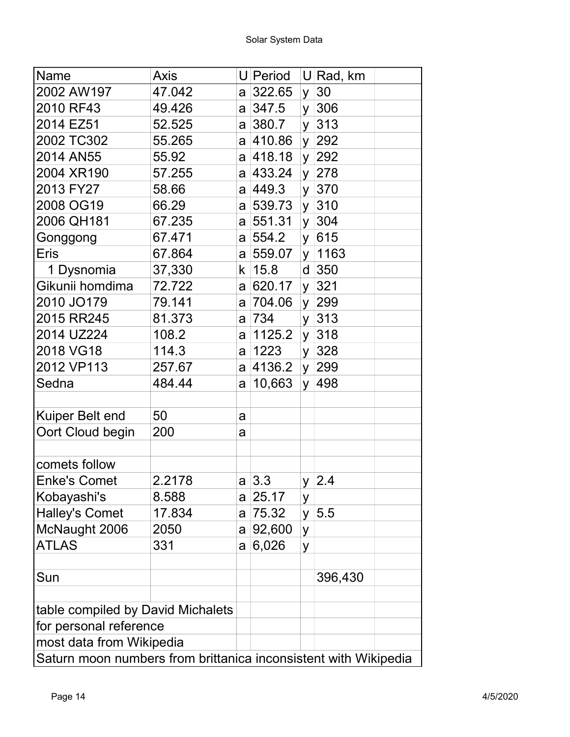| Name                                                            | <b>Axis</b> |    | U Period     |          | U Rad, km    |  |
|-----------------------------------------------------------------|-------------|----|--------------|----------|--------------|--|
| 2002 AW197                                                      | 47.042      |    | a 322.65     | y        | 30           |  |
| 2010 RF43                                                       | 49.426      |    | a 347.5      | y        | 306          |  |
| 2014 EZ51                                                       | 52.525      |    | a 380.7      | y        | 313          |  |
| 2002 TC302                                                      | 55.265      |    | a 410.86     |          | y 292        |  |
| 2014 AN55                                                       | 55.92       |    | a  418.18    |          | y 292        |  |
| 2004 XR190                                                      | 57.255      |    | a 433.24     | y.       | 278          |  |
| 2013 FY27                                                       | 58.66       |    | a  449.3     | y        | 370          |  |
| 2008 OG19                                                       | 66.29       |    | a 539.73     | y        | 310          |  |
| 2006 QH181                                                      | 67.235      |    | a 551.31     | y        | 304          |  |
| Gonggong                                                        | 67.471      |    | a 554.2      | y        | 615          |  |
| Eris                                                            | 67.864      |    | a 559.07     | y        | 1163         |  |
| 1 Dysnomia                                                      | 37,330      | k. | 15.8         | d        | 350          |  |
| Gikunii homdima                                                 | 72.722      | a  | 620.17       | y.       | 321          |  |
| 2010 JO179                                                      | 79.141      |    | a 704.06     | y.       | 299          |  |
| 2015 RR245                                                      | 81.373      |    | a  734       |          | $y$ 313      |  |
| 2014 UZ224                                                      | 108.2       | a  | 1125.2       | y.       | 318          |  |
| 2018 VG18                                                       | 114.3       |    | a   1223     | $y \mid$ | 328          |  |
| 2012 VP113                                                      | 257.67      | a  | 4136.2       |          | y 299        |  |
| Sedna                                                           | 484.44      | a  | 10,663       |          | y 498        |  |
|                                                                 |             |    |              |          |              |  |
| Kuiper Belt end                                                 | 50          | a  |              |          |              |  |
| Oort Cloud begin                                                | 200         | a  |              |          |              |  |
| comets follow                                                   |             |    |              |          |              |  |
| <b>Enke's Comet</b>                                             | 2.2178      |    | $a \,   3.3$ |          | $y \mid 2.4$ |  |
| Kobayashi's                                                     | 8.588       |    | a 25.17      | У        |              |  |
| <b>Halley's Comet</b>                                           | 17.834      | a  | 75.32        | y        | 5.5          |  |
| McNaught 2006                                                   | 2050        |    | a  92,600    | y        |              |  |
| ATLAS                                                           | 331         | a  | 6,026        | У        |              |  |
|                                                                 |             |    |              |          |              |  |
| Sun                                                             |             |    |              |          | 396,430      |  |
| table compiled by David Michalets                               |             |    |              |          |              |  |
| for personal reference                                          |             |    |              |          |              |  |
| most data from Wikipedia                                        |             |    |              |          |              |  |
| Saturn moon numbers from brittanica inconsistent with Wikipedia |             |    |              |          |              |  |